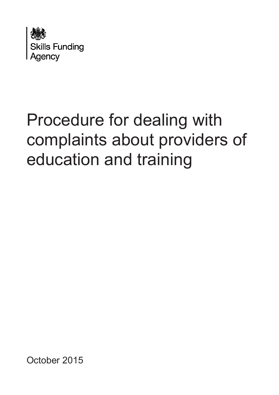

# Procedure for dealing with complaints about providers of education and training

October 2015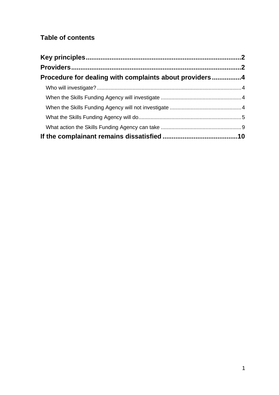## **Table of contents**

| Procedure for dealing with complaints about providers4 |  |
|--------------------------------------------------------|--|
|                                                        |  |
|                                                        |  |
|                                                        |  |
|                                                        |  |
|                                                        |  |
|                                                        |  |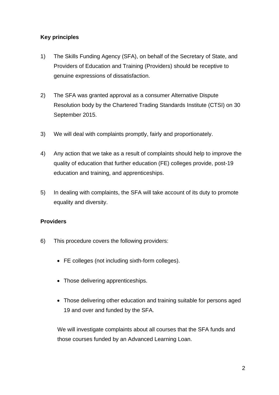### <span id="page-2-0"></span>**Key principles**

- 1) The Skills Funding Agency (SFA), on behalf of the Secretary of State, and Providers of Education and Training (Providers) should be receptive to genuine expressions of dissatisfaction.
- 2) The SFA was granted approval as a consumer Alternative Dispute Resolution body by the Chartered Trading Standards Institute (CTSI) on 30 September 2015.
- 3) We will deal with complaints promptly, fairly and proportionately.
- 4) Any action that we take as a result of complaints should help to improve the quality of education that further education (FE) colleges provide, post-19 education and training, and apprenticeships.
- 5) In dealing with complaints, the SFA will take account of its duty to promote equality and diversity.

#### <span id="page-2-1"></span>**Providers**

- 6) This procedure covers the following providers:
	- FE colleges (not including sixth-form colleges).
	- Those delivering apprenticeships.
	- Those delivering other education and training suitable for persons aged 19 and over and funded by the SFA.

We will investigate complaints about all courses that the SFA funds and those courses funded by an Advanced Learning Loan.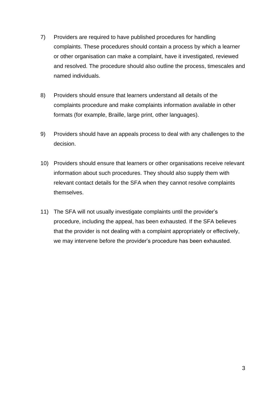- 7) Providers are required to have published procedures for handling complaints. These procedures should contain a process by which a learner or other organisation can make a complaint, have it investigated, reviewed and resolved. The procedure should also outline the process, timescales and named individuals.
- 8) Providers should ensure that learners understand all details of the complaints procedure and make complaints information available in other formats (for example, Braille, large print, other languages).
- 9) Providers should have an appeals process to deal with any challenges to the decision.
- 10) Providers should ensure that learners or other organisations receive relevant information about such procedures. They should also supply them with relevant contact details for the SFA when they cannot resolve complaints themselves.
- 11) The SFA will not usually investigate complaints until the provider's procedure, including the appeal, has been exhausted. If the SFA believes that the provider is not dealing with a complaint appropriately or effectively, we may intervene before the provider's procedure has been exhausted.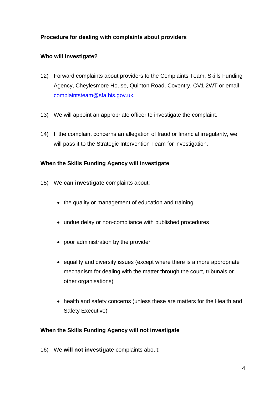### <span id="page-4-0"></span>**Procedure for dealing with complaints about providers**

### <span id="page-4-1"></span>**Who will investigate?**

- 12) Forward complaints about providers to the Complaints Team, Skills Funding Agency, Cheylesmore House, Quinton Road, Coventry, CV1 2WT or email [complaintsteam@sfa.bis.gov.uk.](mailto:complaintsteam@sfa.bis.gov.uk)
- 13) We will appoint an appropriate officer to investigate the complaint.
- 14) If the complaint concerns an allegation of fraud or financial irregularity, we will pass it to the Strategic Intervention Team for investigation.

#### <span id="page-4-2"></span>**When the Skills Funding Agency will investigate**

- 15) We **can investigate** complaints about:
	- the quality or management of education and training
	- undue delay or non-compliance with published procedures
	- poor administration by the provider
	- equality and diversity issues (except where there is a more appropriate mechanism for dealing with the matter through the court, tribunals or other organisations)
	- health and safety concerns (unless these are matters for the Health and Safety Executive)

#### <span id="page-4-3"></span>**When the Skills Funding Agency will not investigate**

16) We **will not investigate** complaints about: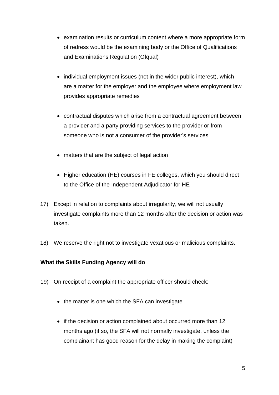- examination results or curriculum content where a more appropriate form of redress would be the examining body or the Office of Qualifications and Examinations Regulation (Ofqual)
- individual employment issues (not in the wider public interest), which are a matter for the employer and the employee where employment law provides appropriate remedies
- contractual disputes which arise from a contractual agreement between a provider and a party providing services to the provider or from someone who is not a consumer of the provider's services
- matters that are the subject of legal action
- Higher education (HE) courses in FE colleges, which you should direct to the Office of the Independent Adjudicator for HE
- 17) Except in relation to complaints about irregularity, we will not usually investigate complaints more than 12 months after the decision or action was taken.
- 18) We reserve the right not to investigate vexatious or malicious complaints.

#### <span id="page-5-0"></span>**What the Skills Funding Agency will do**

- 19) On receipt of a complaint the appropriate officer should check:
	- the matter is one which the SFA can investigate
	- if the decision or action complained about occurred more than 12 months ago (if so, the SFA will not normally investigate, unless the complainant has good reason for the delay in making the complaint)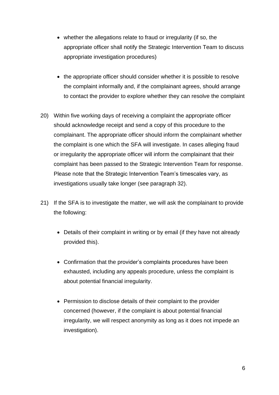- whether the allegations relate to fraud or irregularity (if so, the appropriate officer shall notify the Strategic Intervention Team to discuss appropriate investigation procedures)
- the appropriate officer should consider whether it is possible to resolve the complaint informally and, if the complainant agrees, should arrange to contact the provider to explore whether they can resolve the complaint
- 20) Within five working days of receiving a complaint the appropriate officer should acknowledge receipt and send a copy of this procedure to the complainant. The appropriate officer should inform the complainant whether the complaint is one which the SFA will investigate. In cases alleging fraud or irregularity the appropriate officer will inform the complainant that their complaint has been passed to the Strategic Intervention Team for response. Please note that the Strategic Intervention Team's timescales vary, as investigations usually take longer (see paragraph 32).
- 21) If the SFA is to investigate the matter, we will ask the complainant to provide the following:
	- Details of their complaint in writing or by email (if they have not already provided this).
	- Confirmation that the provider's complaints procedures have been exhausted, including any appeals procedure, unless the complaint is about potential financial irregularity.
	- Permission to disclose details of their complaint to the provider concerned (however, if the complaint is about potential financial irregularity, we will respect anonymity as long as it does not impede an investigation).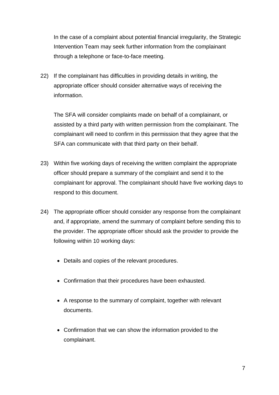In the case of a complaint about potential financial irregularity, the Strategic Intervention Team may seek further information from the complainant through a telephone or face-to-face meeting.

22) If the complainant has difficulties in providing details in writing, the appropriate officer should consider alternative ways of receiving the information.

The SFA will consider complaints made on behalf of a complainant, or assisted by a third party with written permission from the complainant. The complainant will need to confirm in this permission that they agree that the SFA can communicate with that third party on their behalf.

- 23) Within five working days of receiving the written complaint the appropriate officer should prepare a summary of the complaint and send it to the complainant for approval. The complainant should have five working days to respond to this document.
- 24) The appropriate officer should consider any response from the complainant and, if appropriate, amend the summary of complaint before sending this to the provider. The appropriate officer should ask the provider to provide the following within 10 working days:
	- Details and copies of the relevant procedures.
	- Confirmation that their procedures have been exhausted.
	- A response to the summary of complaint, together with relevant documents.
	- Confirmation that we can show the information provided to the complainant.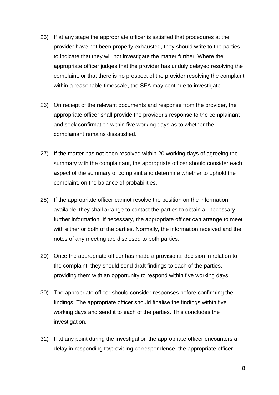- 25) If at any stage the appropriate officer is satisfied that procedures at the provider have not been properly exhausted, they should write to the parties to indicate that they will not investigate the matter further. Where the appropriate officer judges that the provider has unduly delayed resolving the complaint, or that there is no prospect of the provider resolving the complaint within a reasonable timescale, the SFA may continue to investigate.
- 26) On receipt of the relevant documents and response from the provider, the appropriate officer shall provide the provider's response to the complainant and seek confirmation within five working days as to whether the complainant remains dissatisfied.
- 27) If the matter has not been resolved within 20 working days of agreeing the summary with the complainant, the appropriate officer should consider each aspect of the summary of complaint and determine whether to uphold the complaint, on the balance of probabilities.
- 28) If the appropriate officer cannot resolve the position on the information available, they shall arrange to contact the parties to obtain all necessary further information. If necessary, the appropriate officer can arrange to meet with either or both of the parties. Normally, the information received and the notes of any meeting are disclosed to both parties.
- 29) Once the appropriate officer has made a provisional decision in relation to the complaint, they should send draft findings to each of the parties, providing them with an opportunity to respond within five working days.
- 30) The appropriate officer should consider responses before confirming the findings. The appropriate officer should finalise the findings within five working days and send it to each of the parties. This concludes the investigation.
- 31) If at any point during the investigation the appropriate officer encounters a delay in responding to/providing correspondence, the appropriate officer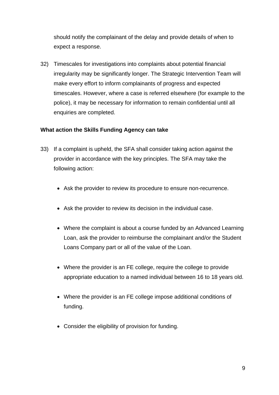should notify the complainant of the delay and provide details of when to expect a response.

32) Timescales for investigations into complaints about potential financial irregularity may be significantly longer. The Strategic Intervention Team will make every effort to inform complainants of progress and expected timescales. However, where a case is referred elsewhere (for example to the police), it may be necessary for information to remain confidential until all enquiries are completed.

#### <span id="page-9-0"></span>**What action the Skills Funding Agency can take**

- 33) If a complaint is upheld, the SFA shall consider taking action against the provider in accordance with the key principles. The SFA may take the following action:
	- Ask the provider to review its procedure to ensure non-recurrence.
	- Ask the provider to review its decision in the individual case.
	- Where the complaint is about a course funded by an Advanced Learning Loan, ask the provider to reimburse the complainant and/or the Student Loans Company part or all of the value of the Loan.
	- Where the provider is an FE college, require the college to provide appropriate education to a named individual between 16 to 18 years old.
	- Where the provider is an FE college impose additional conditions of funding.
	- Consider the eligibility of provision for funding.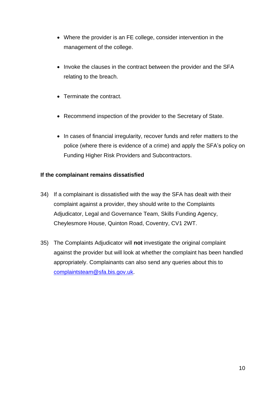- Where the provider is an FE college, consider intervention in the management of the college.
- Invoke the clauses in the contract between the provider and the SFA relating to the breach.
- Terminate the contract.
- Recommend inspection of the provider to the Secretary of State.
- In cases of financial irregularity, recover funds and refer matters to the police (where there is evidence of a crime) and apply the SFA's policy on Funding Higher Risk Providers and Subcontractors.

#### <span id="page-10-0"></span>**If the complainant remains dissatisfied**

- 34) If a complainant is dissatisfied with the way the SFA has dealt with their complaint against a provider, they should write to the Complaints Adjudicator, Legal and Governance Team, Skills Funding Agency, Cheylesmore House, Quinton Road, Coventry, CV1 2WT.
- 35) The Complaints Adjudicator will **not** investigate the original complaint against the provider but will look at whether the complaint has been handled appropriately. Complainants can also send any queries about this to [complaintsteam@sfa.bis.gov.uk.](mailto:complaintsteam@sfa.bis.gov.uk)